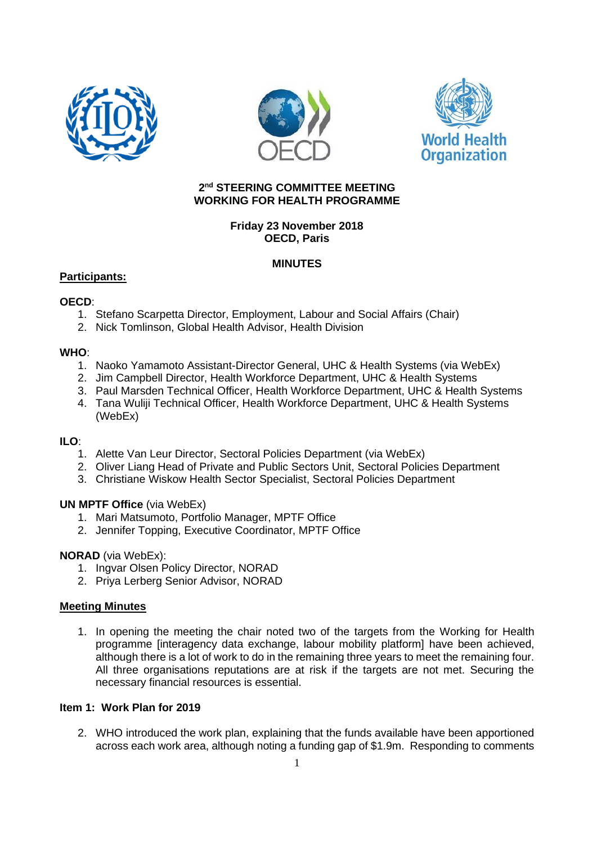





#### **2 nd STEERING COMMITTEE MEETING WORKING FOR HEALTH PROGRAMME**

## **Friday 23 November 2018 OECD, Paris**

## **MINUTES**

## **Participants:**

## **OECD**:

- 1. Stefano Scarpetta Director, Employment, Labour and Social Affairs (Chair)
- 2. Nick Tomlinson, Global Health Advisor, Health Division

## **WHO**:

- 1. Naoko Yamamoto Assistant-Director General, UHC & Health Systems (via WebEx)
- 2. Jim Campbell Director, Health Workforce Department, UHC & Health Systems
- 3. Paul Marsden Technical Officer, Health Workforce Department, UHC & Health Systems
- 4. Tana Wuliji Technical Officer, Health Workforce Department, UHC & Health Systems (WebEx)

## **ILO**:

- 1. Alette Van Leur Director, Sectoral Policies Department (via WebEx)
- 2. Oliver Liang Head of Private and Public Sectors Unit, Sectoral Policies Department
- 3. Christiane Wiskow Health Sector Specialist, Sectoral Policies Department

# **UN MPTF Office** (via WebEx)

- 1. Mari Matsumoto, Portfolio Manager, MPTF Office
- 2. Jennifer Topping, Executive Coordinator, MPTF Office

# **NORAD** (via WebEx):

- 1. Ingvar Olsen Policy Director, NORAD
- 2. Priya Lerberg Senior Advisor, NORAD

## **Meeting Minutes**

1. In opening the meeting the chair noted two of the targets from the Working for Health programme [interagency data exchange, labour mobility platform] have been achieved, although there is a lot of work to do in the remaining three years to meet the remaining four. All three organisations reputations are at risk if the targets are not met. Securing the necessary financial resources is essential.

## **Item 1: Work Plan for 2019**

2. WHO introduced the work plan, explaining that the funds available have been apportioned across each work area, although noting a funding gap of \$1.9m. Responding to comments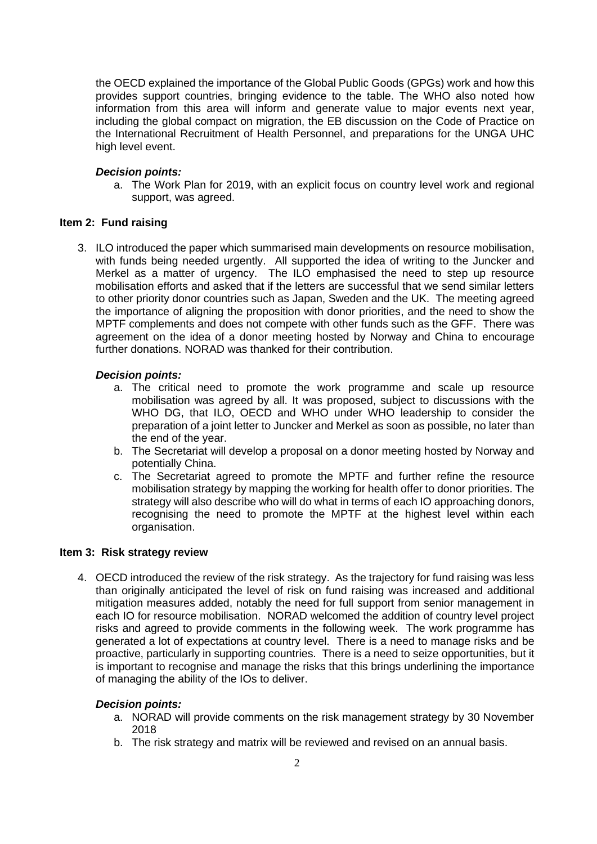the OECD explained the importance of the Global Public Goods (GPGs) work and how this provides support countries, bringing evidence to the table. The WHO also noted how information from this area will inform and generate value to major events next year, including the global compact on migration, the EB discussion on the Code of Practice on the International Recruitment of Health Personnel, and preparations for the UNGA UHC high level event.

#### *Decision points:*

a. The Work Plan for 2019, with an explicit focus on country level work and regional support, was agreed.

#### **Item 2: Fund raising**

3. ILO introduced the paper which summarised main developments on resource mobilisation, with funds being needed urgently. All supported the idea of writing to the Juncker and Merkel as a matter of urgency. The ILO emphasised the need to step up resource mobilisation efforts and asked that if the letters are successful that we send similar letters to other priority donor countries such as Japan, Sweden and the UK. The meeting agreed the importance of aligning the proposition with donor priorities, and the need to show the MPTF complements and does not compete with other funds such as the GFF. There was agreement on the idea of a donor meeting hosted by Norway and China to encourage further donations. NORAD was thanked for their contribution.

## *Decision points:*

- a. The critical need to promote the work programme and scale up resource mobilisation was agreed by all. It was proposed, subject to discussions with the WHO DG, that ILO, OECD and WHO under WHO leadership to consider the preparation of a joint letter to Juncker and Merkel as soon as possible, no later than the end of the year.
- b. The Secretariat will develop a proposal on a donor meeting hosted by Norway and potentially China.
- c. The Secretariat agreed to promote the MPTF and further refine the resource mobilisation strategy by mapping the working for health offer to donor priorities. The strategy will also describe who will do what in terms of each IO approaching donors, recognising the need to promote the MPTF at the highest level within each organisation.

#### **Item 3: Risk strategy review**

4. OECD introduced the review of the risk strategy. As the trajectory for fund raising was less than originally anticipated the level of risk on fund raising was increased and additional mitigation measures added, notably the need for full support from senior management in each IO for resource mobilisation. NORAD welcomed the addition of country level project risks and agreed to provide comments in the following week. The work programme has generated a lot of expectations at country level. There is a need to manage risks and be proactive, particularly in supporting countries. There is a need to seize opportunities, but it is important to recognise and manage the risks that this brings underlining the importance of managing the ability of the IOs to deliver.

#### *Decision points:*

- a. NORAD will provide comments on the risk management strategy by 30 November 2018
- b. The risk strategy and matrix will be reviewed and revised on an annual basis.